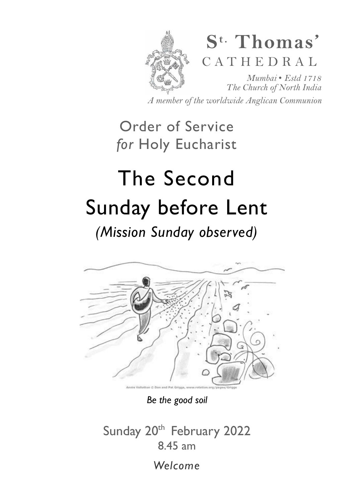

*A member of the worldwide Anglican Communion* 

Order of Service *for* Holy Eucharist

# The Second Sunday before Lent

*(Mission Sunday observed)* 



*Be the good soil*

Sunday 20<sup>th</sup> February 2022 8.45 am

*Welcome*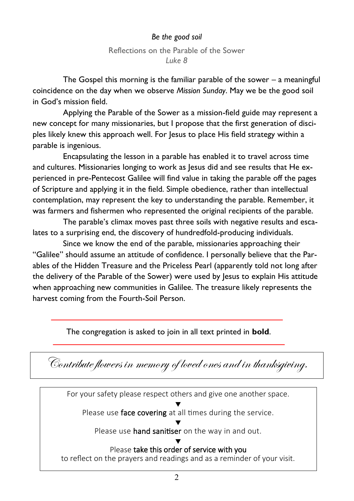#### *Be the good soil*

#### Reflections on the Parable of the Sower *Luke 8*

 The Gospel this morning is the familiar parable of the sower – a meaningful coincidence on the day when we observe *Mission Sunday*. May we be the good soil in God's mission field.

 Applying the Parable of the Sower as a mission-field guide may represent a new concept for many missionaries, but I propose that the first generation of disciples likely knew this approach well. For Jesus to place His field strategy within a parable is ingenious.

 Encapsulating the lesson in a parable has enabled it to travel across time and cultures. Missionaries longing to work as Jesus did and see results that He experienced in pre-Pentecost Galilee will find value in taking the parable off the pages of Scripture and applying it in the field. Simple obedience, rather than intellectual contemplation, may represent the key to understanding the parable. Remember, it was farmers and fishermen who represented the original recipients of the parable.

The parable's climax moves past three soils with negative results and escalates to a surprising end, the discovery of hundredfold-producing individuals.

 Since we know the end of the parable, missionaries approaching their "Galilee" should assume an attitude of confidence. I personally believe that the Parables of the Hidden Treasure and the Priceless Pearl (apparently told not long after the delivery of the Parable of the Sower) were used by Jesus to explain His attitude when approaching new communities in Galilee. The treasure likely represents the harvest coming from the Fourth-Soil Person.

The congregation is asked to join in all text printed in **bold**.

Contribute flowers in memory of loved ones and in thanksgiving.

For your safety please respect others and give one another space.

▼ Please use face covering at all times during the service.

▼ Please use **hand sanitiser** on the way in and out.

▼ Please take this order of service with you

to reflect on the prayers and readings and as a reminder of your visit.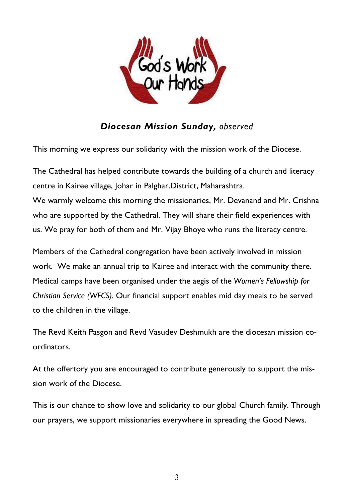

## *Diocesan Mission Sunday, observed*

This morning we express our solidarity with the mission work of the Diocese.

The Cathedral has helped contribute towards the building of a church and literacy centre in Kairee village, Johar in Palghar.District, Maharashtra.

We warmly welcome this morning the missionaries, Mr. Devanand and Mr. Crishna who are supported by the Cathedral. They will share their field experiences with us. We pray for both of them and Mr. Vijay Bhoye who runs the literacy centre.

Members of the Cathedral congregation have been actively involved in mission work. We make an annual trip to Kairee and interact with the community there. Medical camps have been organised under the aegis of the *Women's Fellowship for Christian Service (WFCS)*. Our financial support enables mid day meals to be served to the children in the village.

The Revd Keith Pasgon and Revd Vasudev Deshmukh are the diocesan mission coordinators.

At the offertory you are encouraged to contribute generously to support the mission work of the Diocese.

This is our chance to show love and solidarity to our global Church family. Through our prayers, we support missionaries everywhere in spreading the Good News.

3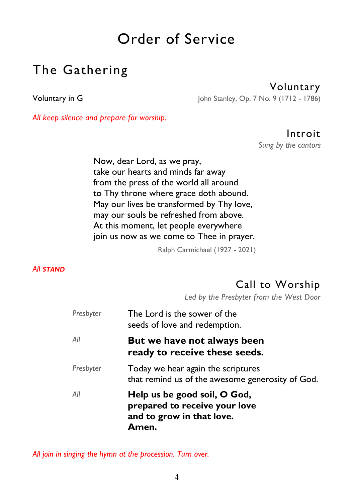# Order of Service

# The Gathering

Voluntary

Voluntary in G John Stanley, Op. 7 No. 9 (1712 - 1786)

*All keep silence and prepare for worship.* 

## Introit

*Sung by the cantors* 

Now, dear Lord, as we pray, take our hearts and minds far away from the press of the world all around to Thy throne where grace doth abound. May our lives be transformed by Thy love, may our souls be refreshed from above. At this moment, let people everywhere join us now as we come to Thee in prayer.

Ralph Carmichael (1927 - 2021)

#### *All STAND*

## Call to Worship

*Led by the Presbyter from the West Door* 

| Presbyter | The Lord is the sower of the<br>seeds of love and redemption.                                       |
|-----------|-----------------------------------------------------------------------------------------------------|
| All       | But we have not always been<br>ready to receive these seeds.                                        |
| Presbyter | Today we hear again the scriptures<br>that remind us of the awesome generosity of God.              |
| All       | Help us be good soil, O God,<br>prepared to receive your love<br>and to grow in that love.<br>Amen. |

*All join in singing the hymn at the procession. Turn over.*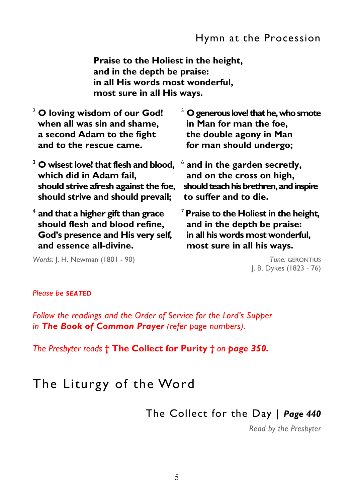**Praise to the Holiest in the height, and in the depth be praise: in all His words most wonderful, most sure in all His ways.** 

| $2$ O loving wisdom of our God!                                          | $5$ O generous love! that he, who smote |
|--------------------------------------------------------------------------|-----------------------------------------|
| when all was sin and shame,                                              | in Man for man the foe,                 |
| a second Adam to the fight                                               | the double agony in Man                 |
| and to the rescue came.                                                  | for man should undergo;                 |
| $3$ O wisest love! that flesh and blood, $6$ and in the garden secretly, |                                         |

 **which did in Adam fail, should strive afresh against the foe, should strive and should prevail;** 

4 **and that a higher gift than grace should flesh and blood refine, God's presence and His very self, and essence all-divine.** 

**and in the garden secretly,** 

 **and on the cross on high, should teach his brethren, and inspire to suffer and to die.** 

<sup>7</sup>**Praise to the Holiest in the height, and in the depth be praise: in all his words most wonderful, most sure in all his ways.** 

> *Tune:* GERONTIUS J. B. Dykes (1823 - 76)

*Words:* J. H. Newman (1801 - 90)

#### *Please be SEATED*

*Follow the readings and the Order of Service for the Lord's Supper in The Book of Common Prayer (refer page numbers)*.

*The Presbyter reads* **† The Collect for Purity †** *on page 350.* 

# The Liturgy of the Word

The Collect for the Day | *Page 440* 

*Read by the Presbyter*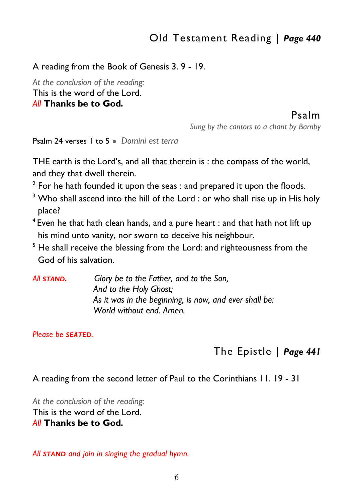## Old Testament Reading | *Page 440*

#### A reading from the Book of Genesis 3. 9 - 19.

*At the conclusion of the reading:*  This is the word of the Lord. *All* **Thanks be to God***.* 

## Psalm

*Sung by the cantors to a chant by Barnby* 

Psalm 24 verses 1 to 5 ● *Domini est terra* 

THE earth is the Lord's, and all that therein is : the compass of the world, and they that dwell therein.

- $2$  For he hath founded it upon the seas : and prepared it upon the floods.
- $^3$  Who shall ascend into the hill of the Lord : or who shall rise up in His holy place?
- <sup>4</sup> Even he that hath clean hands, and a pure heart : and that hath not lift up his mind unto vanity, nor sworn to deceive his neighbour.
- <sup>5</sup> He shall receive the blessing from the Lord: and righteousness from the God of his salvation.
- *All STAND. Glory be to the Father, and to the Son, And to the Holy Ghost; As it was in the beginning, is now, and ever shall be: World without end. Amen.*

*Please be SEATED.* 

## The Epistle | *Page 441*

A reading from the second letter of Paul to the Corinthians 11. 19 - 31

*At the conclusion of the reading:*  This is the word of the Lord. *All* **Thanks be to God***.* 

*All STAND and join in singing the gradual hymn.*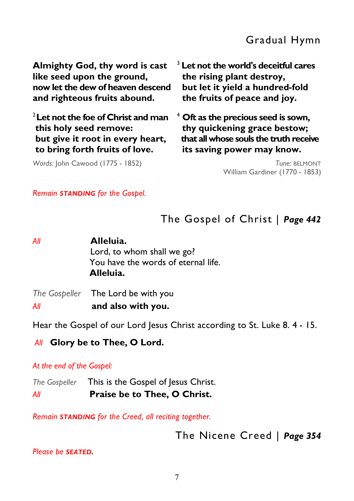**Almighty God, thy word is cast like seed upon the ground, now let the dew of heaven descend and righteous fruits abound.** 

<sup>2</sup>**Let not the foe of Christ and man this holy seed remove: but give it root in every heart, to bring forth fruits of love.** 

*Words:* John Cawood (1775 - 1852)

<sup>3</sup> **Let not the world's deceitful cares the rising plant destroy, but let it yield a hundred-fold the fruits of peace and joy.** 

4  **Oft as the precious seed is sown, thy quickening grace bestow; that all whose souls the truth receive its saving power may know.** 

> *Tune:* BELMONT William Gardiner (1770 - 1853)

*Remain STANDING for the Gospel.* 

## The Gospel of Christ | *Page 442*

| Αll | Alleluia.<br>Lord, to whom shall we go?<br>You have the words of eternal life.<br>Alleluia. |
|-----|---------------------------------------------------------------------------------------------|
| Αll | The Gospeller The Lord be with you<br>and also with you.                                    |
|     |                                                                                             |

Hear the Gospel of our Lord Jesus Christ according to St. Luke 8. 4 - 15.

## *All* **Glory be to Thee, O Lord.**

#### *At the end of the Gospel:*

*The Gospeller* This is the Gospel of Jesus Christ. *All* **Praise be to Thee, O Christ.** 

*Remain STANDING for the Creed, all reciting together.* 

The Nicene Creed | *Page 354* 

*Please be SEATED.*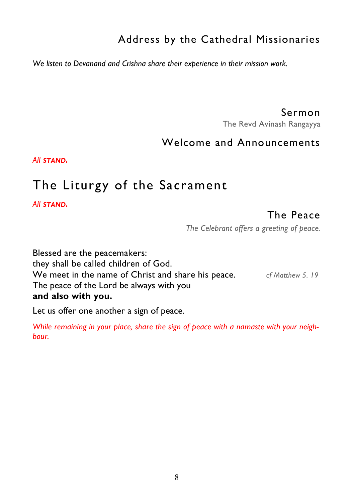# Address by the Cathedral Missionaries

*We listen to Devanand and Crishna share their experience in their mission work.* 

Sermon

The Revd Avinash Rangayya

## Welcome and Announcements

*All STAND.* 

# The Liturgy of the Sacrament

*All STAND.*

## The Peace

*The Celebrant offers a greeting of peace.* 

Blessed are the peacemakers: they shall be called children of God. We meet in the name of Christ and share his peace. *cf Matthew 5. 19*  The peace of the Lord be always with you **and also with you.** 

Let us offer one another a sign of peace.

*While remaining in your place, share the sign of peace with a namaste with your neighbour.*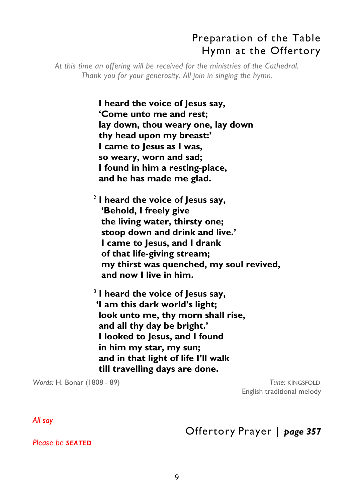## Preparation of the Table Hymn at the Offertory

*At this time an offering will be received for the ministries of the Cathedral. Thank you for your generosity. All join in singing the hymn.* 

> **I heard the voice of Jesus say, 'Come unto me and rest; lay down, thou weary one, lay down thy head upon my breast:' I came to Jesus as I was, so weary, worn and sad; I found in him a resting-place, and he has made me glad.**

2 **I heard the voice of Jesus say, 'Behold, I freely give the living water, thirsty one; stoop down and drink and live.' I came to Jesus, and I drank of that life-giving stream; my thirst was quenched, my soul revived, and now I live in him.** 

3 **I heard the voice of Jesus say, 'I am this dark world's light; look unto me, thy morn shall rise, and all thy day be bright.' I looked to Jesus, and I found in him my star, my sun; and in that light of life I'll walk till travelling days are done.** 

*Words:* H. Bonar (1808 - 89) *Tune:* KINGSFOLD

English traditional melody

*All say* 

Offertory Prayer | *page 357* 

*Please be SEATED*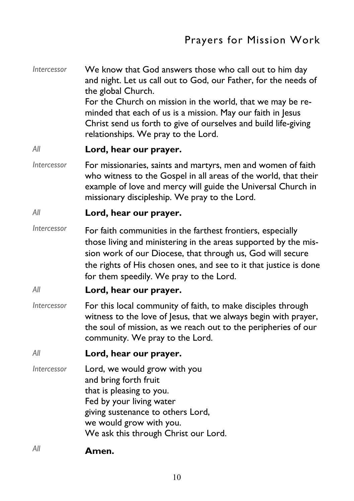*Intercessor* We know that God answers those who call out to him day and night. Let us call out to God, our Father, for the needs of the global Church. For the Church on mission in the world, that we may be reminded that each of us is a mission. May our faith in Jesus Christ send us forth to give of ourselves and build life-giving relationships. We pray to the Lord.

#### *All* **Lord, hear our prayer.**

*Intercessor* For missionaries, saints and martyrs, men and women of faith who witness to the Gospel in all areas of the world, that their example of love and mercy will guide the Universal Church in missionary discipleship. We pray to the Lord.

#### *All* **Lord, hear our prayer.**

*Intercessor* For faith communities in the farthest frontiers, especially those living and ministering in the areas supported by the mission work of our Diocese, that through us, God will secure the rights of His chosen ones, and see to it that justice is done for them speedily. We pray to the Lord.

#### *All* **Lord, hear our prayer.**

- *Intercessor* For this local community of faith, to make disciples through witness to the love of lesus, that we always begin with prayer, the soul of mission, as we reach out to the peripheries of our community. We pray to the Lord.
- *All* **Lord, hear our prayer.**
- *Intercessor* Lord, we would grow with you and bring forth fruit that is pleasing to you. Fed by your living water giving sustenance to others Lord, we would grow with you. We ask this through Christ our Lord.
- *All* **Amen.**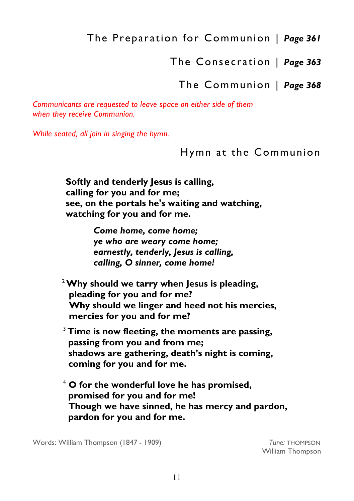The Preparation for Communion | *Page 361* 

The Consecration | *Page 363* 

The Communion | *Page 368* 

*Communicants are requested to leave space on either side of them when they receive Communion.* 

*While seated, all join in singing the hymn.* 

Hymn at the Communion

 **Softly and tenderly Jesus is calling, calling for you and for me; see, on the portals he's waiting and watching, watching for you and for me.** 

> *Come home, come home; ye who are weary come home; earnestly, tenderly, Jesus is calling, calling, O sinner, come home!*

<sup>2</sup>**Why should we tarry when Jesus is pleading, pleading for you and for me? Why should we linger and heed not his mercies, mercies for you and for me?** 

<sup>3</sup>**Time is now fleeting, the moments are passing, passing from you and from me; shadows are gathering, death's night is coming, coming for you and for me.** 

<sup>4</sup> **O for the wonderful love he has promised, promised for you and for me! Though we have sinned, he has mercy and pardon, pardon for you and for me.** 

Words: William Thompson (1847 - 1909) **Tune: THOMPSON** 

William Thompson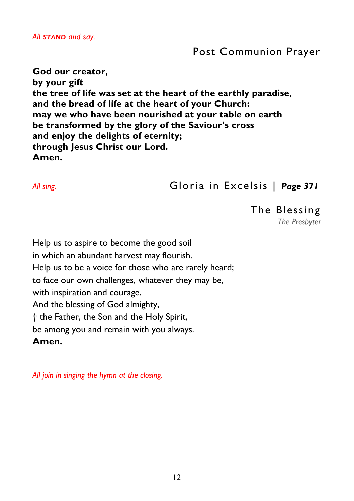## Post Communion Prayer

**God our creator, by your gift the tree of life was set at the heart of the earthly paradise, and the bread of life at the heart of your Church: may we who have been nourished at your table on earth be transformed by the glory of the Saviour's cross and enjoy the delights of eternity; through Jesus Christ our Lord. Amen.**

## *All sing.* Gloria in Excelsis | *Page 371*

The Blessing *The Presbyter* 

Help us to aspire to become the good soil in which an abundant harvest may flourish. Help us to be a voice for those who are rarely heard; to face our own challenges, whatever they may be, with inspiration and courage. And the blessing of God almighty, † the Father, the Son and the Holy Spirit, be among you and remain with you always. **Amen.** 

*All join in singing the hymn at the closing.*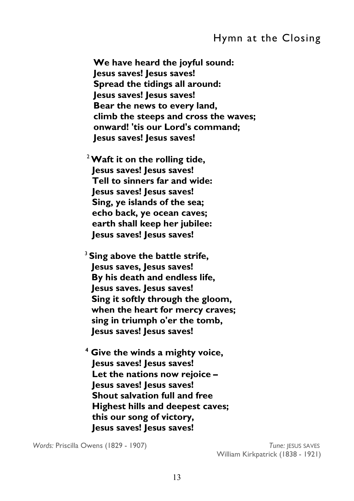## Hymn at the Closing

**We have heard the joyful sound: Jesus saves! Jesus saves! Spread the tidings all around: Jesus saves! Jesus saves! Bear the news to every land, climb the steeps and cross the waves; onward! 'tis our Lord's command; Jesus saves! Jesus saves!** 

<sup>2</sup>**Waft it on the rolling tide, Jesus saves! Jesus saves! Tell to sinners far and wide: Jesus saves! Jesus saves! Sing, ye islands of the sea; echo back, ye ocean caves; earth shall keep her jubilee: Jesus saves! Jesus saves!** 

<sup>3</sup>**Sing above the battle strife, Jesus saves, Jesus saves! By his death and endless life, Jesus saves. Jesus saves! Sing it softly through the gloom, when the heart for mercy craves; sing in triumph o'er the tomb, Jesus saves! Jesus saves!** 

**<sup>4</sup> Give the winds a mighty voice, Jesus saves! Jesus saves! Let the nations now rejoice – Jesus saves! Jesus saves! Shout salvation full and free Highest hills and deepest caves; this our song of victory, Jesus saves! Jesus saves!** 

*Words:* Priscilla Owens (1829 - 1907) *Tune:* JESUS SAVES

William Kirkpatrick (1838 - 1921)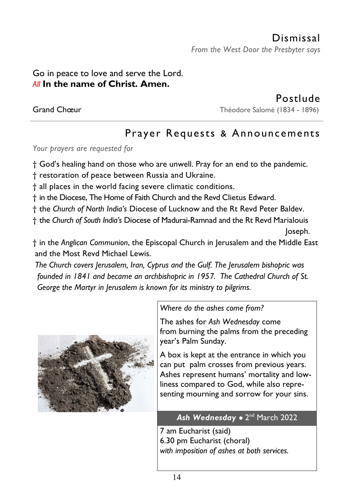## Go in peace to love and serve the Lord. *All* **In the name of Christ. Amen.**

Postlude Grand Chœur **Théodore Salomé (1834 - 1896)** 

# Prayer Requests & Announcements

*Your prayers are requested for* 

† God's healing hand on those who are unwell. Pray for an end to the pandemic.

† restoration of peace between Russia and Ukraine.

† all places in the world facing severe climatic conditions.

† in the Diocese, The Home of Faith Church and the Revd Clietus Edward.

† the *Church of North India's* Diocese of Lucknow and the Rt Revd Peter Baldev.

† the *Church of South India's* Diocese of Madurai-Ramnad and the Rt Revd Marialouis Joseph.

† in the *Anglican Communion*, the Episcopal Church in Jerusalem and the Middle East and the Most Revd Michael Lewis.

 *The Church covers Jerusalem, Iran, Cyprus and the Gulf. The Jerusalem bishopric was founded in 1841 and became an archbishopric in 1957. The Cathedral Church of St. George the Martyr in Jerusalem is known for its ministry to pilgrims.* 



*Where do the ashes come from?* 

The ashes for *Ash Wednesday* come from [burning the palms](https://www.usatoday.com/story/news/nation/2019/03/05/ash-wednesday-christians-wear-ashes-fast-lent/3069905002/) from the preceding year's Palm Sunday.

A box is kept at the entrance in which you can put palm crosses from previous years. Ashes represent humans' mortality and lowliness compared to God, while also representing mourning and sorrow for your sins.

### **Ash Wednesday •** 2<sup>nd</sup> March 2022

7 am Eucharist (said) 6.30 pm Eucharist (choral) *with imposition of ashes at both services.*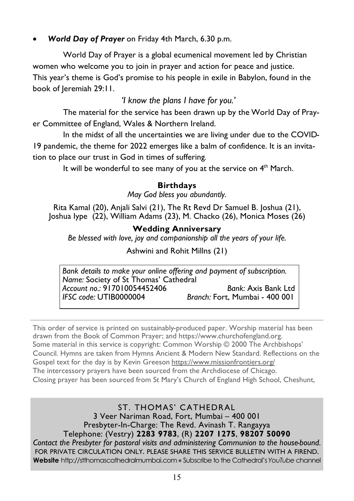## *World Day of Prayer* on Friday 4th March, 6.30 p.m.

 World Day of Prayer is a global ecumenical movement led by Christian women who welcome you to join in prayer and action for peace and justice. This year's theme is God's promise to his people in exile in Babylon, found in the book of Jeremiah 29:11.

## *'I know the plans I have for you.'*

 The material for the service has been drawn up by the World Day of Prayer Committee of England, Wales & Northern Ireland.

 In the midst of all the uncertainties we are living under due to the COVID-19 pandemic, the theme for 2022 emerges like a balm of confidence. It is an invitation to place our trust in God in times of suffering.

It will be wonderful to see many of you at the service on 4<sup>th</sup> March.

#### **Birthdays**

*May God bless you abundantly.* 

Rita Kamal (20), Anjali Salvi (21), The Rt Revd Dr Samuel B. Joshua (21), Joshua Iype (22), William Adams (23), M. Chacko (26), Monica Moses (26)

#### **Wedding Anniversary**

*Be blessed with love, joy and companionship all the years of your life.* 

Ashwini and Rohit Millns (21)

*Bank details to make your online offering and payment of subscription. Name:* Society of St Thomas' Cathedral *Account no.:* 917010054452406 *Bank:* Axis Bank Ltd *Branch: Fort, Mumbai - 400 001* 

This order of service is printed on sustainably-produced paper. Worship material has been drawn from the Book of Common Prayer; and https://www.churchofengland.org. Some material in this service is copyright: Common Worship © 2000 The Archbishops' Council. Hymns are taken from Hymns Ancient & Modern New Standard. Reflections on the Gospel text for the day is by Kevin Greeson https://www.missionfrontiers.org/ The intercessory prayers have been sourced from the Archdiocese of Chicago. Closing prayer has been sourced from St Mary's Church of England High School, Cheshunt,

ST. THOMAS' CATHEDRAL 3 Veer Nariman Road, Fort, Mumbai – 400 001 Presbyter-In-Charge: The Revd. Avinash T. Rangayya Telephone: (Vestry) **2283 9783**, (R) **2207 1275**, **98207 50090**  *Contact the Presbyter for pastoral visits and administering Communion to the house-bound.* FOR PRIVATE CIRCULATION ONLY. PLEASE SHARE THIS SERVICE BULLETIN WITH A FIREND. **Website** http://stthomascathedralmumbai.com ● Subscribe to the Cathedral's *YouTube* channel